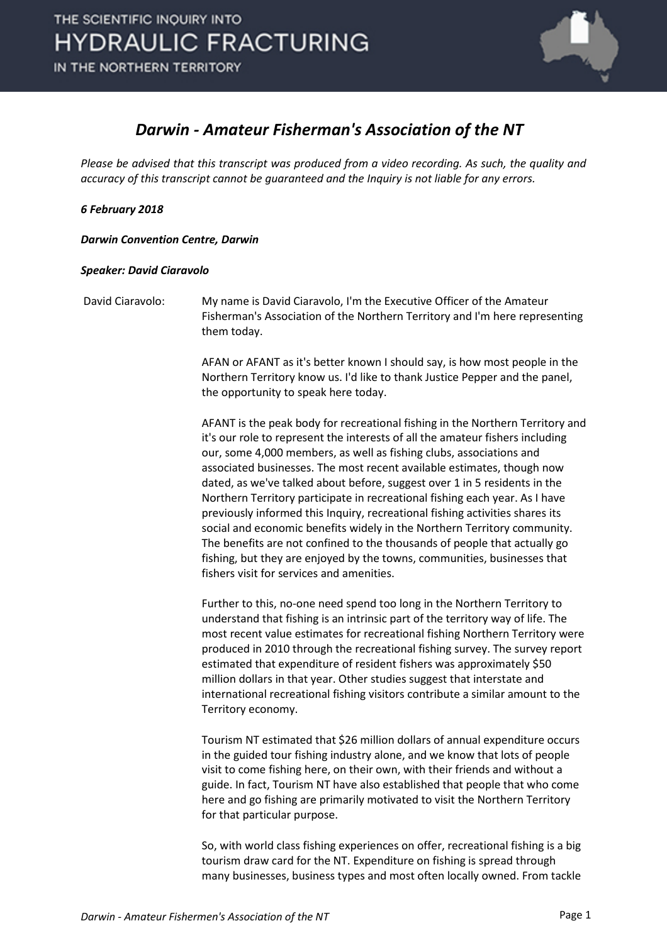

## *Darwin - Amateur Fisherman's Association of the NT*

*Please be advised that this transcript was produced from a video recording. As such, the quality and accuracy of this transcript cannot be guaranteed and the Inquiry is not liable for any errors.*

## *6 February 2018*

*Darwin Convention Centre, Darwin* 

## *Speaker: David Ciaravolo*

David Ciaravolo: My name is David Ciaravolo, I'm the Executive Officer of the Amateur Fisherman's Association of the Northern Territory and I'm here representing them today.

> AFAN or AFANT as it's better known I should say, is how most people in the Northern Territory know us. I'd like to thank Justice Pepper and the panel, the opportunity to speak here today.

AFANT is the peak body for recreational fishing in the Northern Territory and it's our role to represent the interests of all the amateur fishers including our, some 4,000 members, as well as fishing clubs, associations and associated businesses. The most recent available estimates, though now dated, as we've talked about before, suggest over 1 in 5 residents in the Northern Territory participate in recreational fishing each year. As I have previously informed this Inquiry, recreational fishing activities shares its social and economic benefits widely in the Northern Territory community. The benefits are not confined to the thousands of people that actually go fishing, but they are enjoyed by the towns, communities, businesses that fishers visit for services and amenities.

Further to this, no-one need spend too long in the Northern Territory to understand that fishing is an intrinsic part of the territory way of life. The most recent value estimates for recreational fishing Northern Territory were produced in 2010 through the recreational fishing survey. The survey report estimated that expenditure of resident fishers was approximately \$50 million dollars in that year. Other studies suggest that interstate and international recreational fishing visitors contribute a similar amount to the Territory economy.

Tourism NT estimated that \$26 million dollars of annual expenditure occurs in the guided tour fishing industry alone, and we know that lots of people visit to come fishing here, on their own, with their friends and without a guide. In fact, Tourism NT have also established that people that who come here and go fishing are primarily motivated to visit the Northern Territory for that particular purpose.

So, with world class fishing experiences on offer, recreational fishing is a big tourism draw card for the NT. Expenditure on fishing is spread through many businesses, business types and most often locally owned. From tackle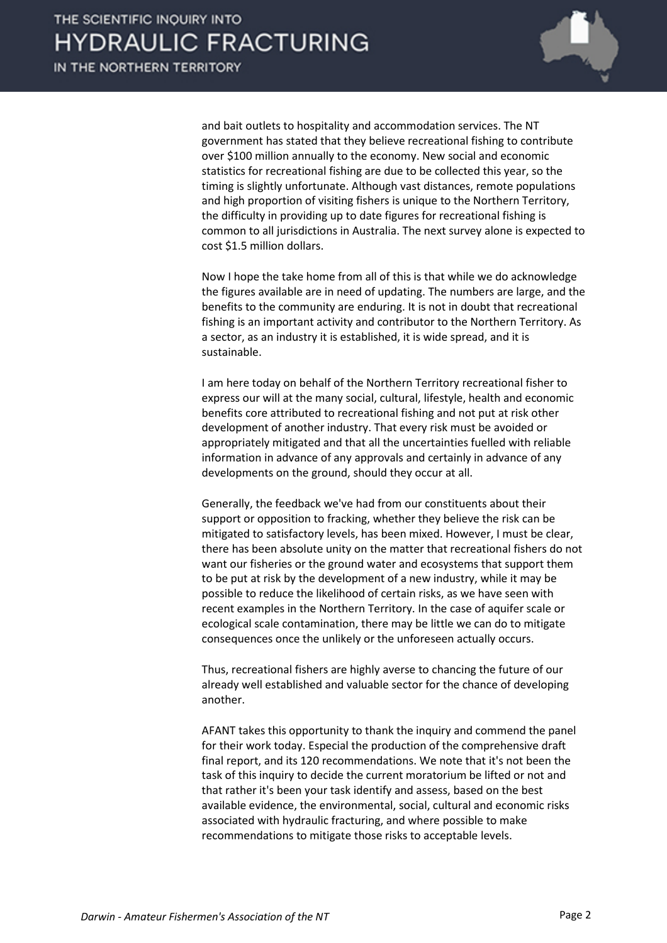

and bait outlets to hospitality and accommodation services. The NT government has stated that they believe recreational fishing to contribute over \$100 million annually to the economy. New social and economic statistics for recreational fishing are due to be collected this year, so the timing is slightly unfortunate. Although vast distances, remote populations and high proportion of visiting fishers is unique to the Northern Territory, the difficulty in providing up to date figures for recreational fishing is common to all jurisdictions in Australia. The next survey alone is expected to cost \$1.5 million dollars.

Now I hope the take home from all of this is that while we do acknowledge the figures available are in need of updating. The numbers are large, and the benefits to the community are enduring. It is not in doubt that recreational fishing is an important activity and contributor to the Northern Territory. As a sector, as an industry it is established, it is wide spread, and it is sustainable.

I am here today on behalf of the Northern Territory recreational fisher to express our will at the many social, cultural, lifestyle, health and economic benefits core attributed to recreational fishing and not put at risk other development of another industry. That every risk must be avoided or appropriately mitigated and that all the uncertainties fuelled with reliable information in advance of any approvals and certainly in advance of any developments on the ground, should they occur at all.

Generally, the feedback we've had from our constituents about their support or opposition to fracking, whether they believe the risk can be mitigated to satisfactory levels, has been mixed. However, I must be clear, there has been absolute unity on the matter that recreational fishers do not want our fisheries or the ground water and ecosystems that support them to be put at risk by the development of a new industry, while it may be possible to reduce the likelihood of certain risks, as we have seen with recent examples in the Northern Territory. In the case of aquifer scale or ecological scale contamination, there may be little we can do to mitigate consequences once the unlikely or the unforeseen actually occurs.

Thus, recreational fishers are highly averse to chancing the future of our already well established and valuable sector for the chance of developing another.

AFANT takes this opportunity to thank the inquiry and commend the panel for their work today. Especial the production of the comprehensive draft final report, and its 120 recommendations. We note that it's not been the task of this inquiry to decide the current moratorium be lifted or not and that rather it's been your task identify and assess, based on the best available evidence, the environmental, social, cultural and economic risks associated with hydraulic fracturing, and where possible to make recommendations to mitigate those risks to acceptable levels.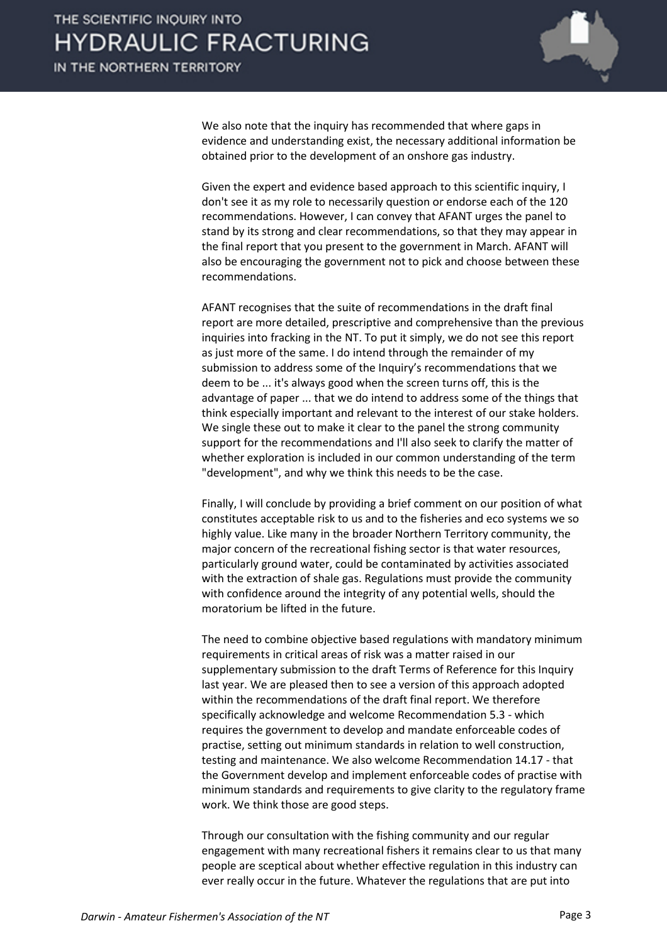

We also note that the inquiry has recommended that where gaps in evidence and understanding exist, the necessary additional information be obtained prior to the development of an onshore gas industry.

Given the expert and evidence based approach to this scientific inquiry, I don't see it as my role to necessarily question or endorse each of the 120 recommendations. However, I can convey that AFANT urges the panel to stand by its strong and clear recommendations, so that they may appear in the final report that you present to the government in March. AFANT will also be encouraging the government not to pick and choose between these recommendations.

AFANT recognises that the suite of recommendations in the draft final report are more detailed, prescriptive and comprehensive than the previous inquiries into fracking in the NT. To put it simply, we do not see this report as just more of the same. I do intend through the remainder of my submission to address some of the Inquiry's recommendations that we deem to be ... it's always good when the screen turns off, this is the advantage of paper ... that we do intend to address some of the things that think especially important and relevant to the interest of our stake holders. We single these out to make it clear to the panel the strong community support for the recommendations and I'll also seek to clarify the matter of whether exploration is included in our common understanding of the term "development", and why we think this needs to be the case.

Finally, I will conclude by providing a brief comment on our position of what constitutes acceptable risk to us and to the fisheries and eco systems we so highly value. Like many in the broader Northern Territory community, the major concern of the recreational fishing sector is that water resources, particularly ground water, could be contaminated by activities associated with the extraction of shale gas. Regulations must provide the community with confidence around the integrity of any potential wells, should the moratorium be lifted in the future.

The need to combine objective based regulations with mandatory minimum requirements in critical areas of risk was a matter raised in our supplementary submission to the draft Terms of Reference for this Inquiry last year. We are pleased then to see a version of this approach adopted within the recommendations of the draft final report. We therefore specifically acknowledge and welcome Recommendation 5.3 - which requires the government to develop and mandate enforceable codes of practise, setting out minimum standards in relation to well construction, testing and maintenance. We also welcome Recommendation 14.17 - that the Government develop and implement enforceable codes of practise with minimum standards and requirements to give clarity to the regulatory frame work. We think those are good steps.

Through our consultation with the fishing community and our regular engagement with many recreational fishers it remains clear to us that many people are sceptical about whether effective regulation in this industry can ever really occur in the future. Whatever the regulations that are put into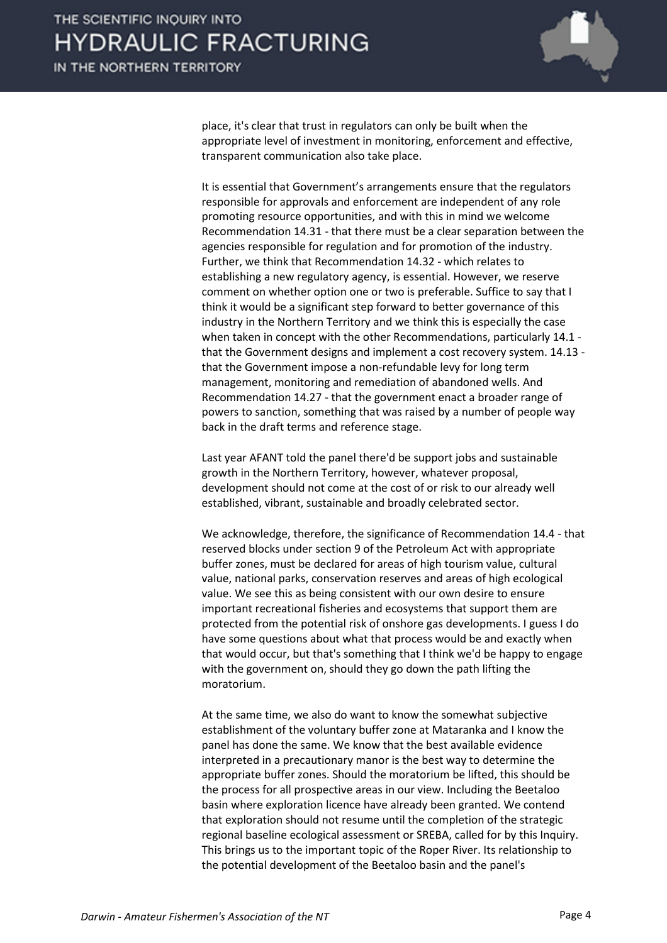

place, it's clear that trust in regulators can only be built when the appropriate level of investment in monitoring, enforcement and effective, transparent communication also take place.

It is essential that Government's arrangements ensure that the regulators responsible for approvals and enforcement are independent of any role promoting resource opportunities, and with this in mind we welcome Recommendation 14.31 - that there must be a clear separation between the agencies responsible for regulation and for promotion of the industry. Further, we think that Recommendation 14.32 - which relates to establishing a new regulatory agency, is essential. However, we reserve comment on whether option one or two is preferable. Suffice to say that I think it would be a significant step forward to better governance of this industry in the Northern Territory and we think this is especially the case when taken in concept with the other Recommendations, particularly 14.1 that the Government designs and implement a cost recovery system. 14.13 that the Government impose a non-refundable levy for long term management, monitoring and remediation of abandoned wells. And Recommendation 14.27 - that the government enact a broader range of powers to sanction, something that was raised by a number of people way back in the draft terms and reference stage.

Last year AFANT told the panel there'd be support jobs and sustainable growth in the Northern Territory, however, whatever proposal, development should not come at the cost of or risk to our already well established, vibrant, sustainable and broadly celebrated sector.

We acknowledge, therefore, the significance of Recommendation 14.4 - that reserved blocks under section 9 of the Petroleum Act with appropriate buffer zones, must be declared for areas of high tourism value, cultural value, national parks, conservation reserves and areas of high ecological value. We see this as being consistent with our own desire to ensure important recreational fisheries and ecosystems that support them are protected from the potential risk of onshore gas developments. I guess I do have some questions about what that process would be and exactly when that would occur, but that's something that I think we'd be happy to engage with the government on, should they go down the path lifting the moratorium.

At the same time, we also do want to know the somewhat subjective establishment of the voluntary buffer zone at Mataranka and I know the panel has done the same. We know that the best available evidence interpreted in a precautionary manor is the best way to determine the appropriate buffer zones. Should the moratorium be lifted, this should be the process for all prospective areas in our view. Including the Beetaloo basin where exploration licence have already been granted. We contend that exploration should not resume until the completion of the strategic regional baseline ecological assessment or SREBA, called for by this Inquiry. This brings us to the important topic of the Roper River. Its relationship to the potential development of the Beetaloo basin and the panel's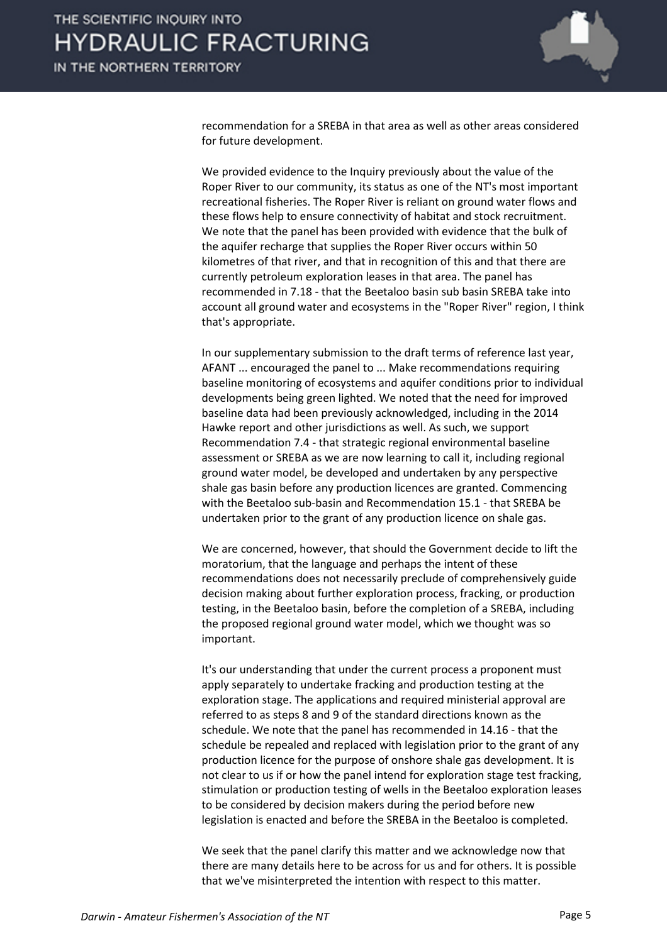

recommendation for a SREBA in that area as well as other areas considered for future development.

We provided evidence to the Inquiry previously about the value of the Roper River to our community, its status as one of the NT's most important recreational fisheries. The Roper River is reliant on ground water flows and these flows help to ensure connectivity of habitat and stock recruitment. We note that the panel has been provided with evidence that the bulk of the aquifer recharge that supplies the Roper River occurs within 50 kilometres of that river, and that in recognition of this and that there are currently petroleum exploration leases in that area. The panel has recommended in 7.18 - that the Beetaloo basin sub basin SREBA take into account all ground water and ecosystems in the "Roper River" region, I think that's appropriate.

In our supplementary submission to the draft terms of reference last year, AFANT ... encouraged the panel to ... Make recommendations requiring baseline monitoring of ecosystems and aquifer conditions prior to individual developments being green lighted. We noted that the need for improved baseline data had been previously acknowledged, including in the 2014 Hawke report and other jurisdictions as well. As such, we support Recommendation 7.4 - that strategic regional environmental baseline assessment or SREBA as we are now learning to call it, including regional ground water model, be developed and undertaken by any perspective shale gas basin before any production licences are granted. Commencing with the Beetaloo sub-basin and Recommendation 15.1 - that SREBA be undertaken prior to the grant of any production licence on shale gas.

We are concerned, however, that should the Government decide to lift the moratorium, that the language and perhaps the intent of these recommendations does not necessarily preclude of comprehensively guide decision making about further exploration process, fracking, or production testing, in the Beetaloo basin, before the completion of a SREBA, including the proposed regional ground water model, which we thought was so important.

It's our understanding that under the current process a proponent must apply separately to undertake fracking and production testing at the exploration stage. The applications and required ministerial approval are referred to as steps 8 and 9 of the standard directions known as the schedule. We note that the panel has recommended in 14.16 - that the schedule be repealed and replaced with legislation prior to the grant of any production licence for the purpose of onshore shale gas development. It is not clear to us if or how the panel intend for exploration stage test fracking, stimulation or production testing of wells in the Beetaloo exploration leases to be considered by decision makers during the period before new legislation is enacted and before the SREBA in the Beetaloo is completed.

We seek that the panel clarify this matter and we acknowledge now that there are many details here to be across for us and for others. It is possible that we've misinterpreted the intention with respect to this matter.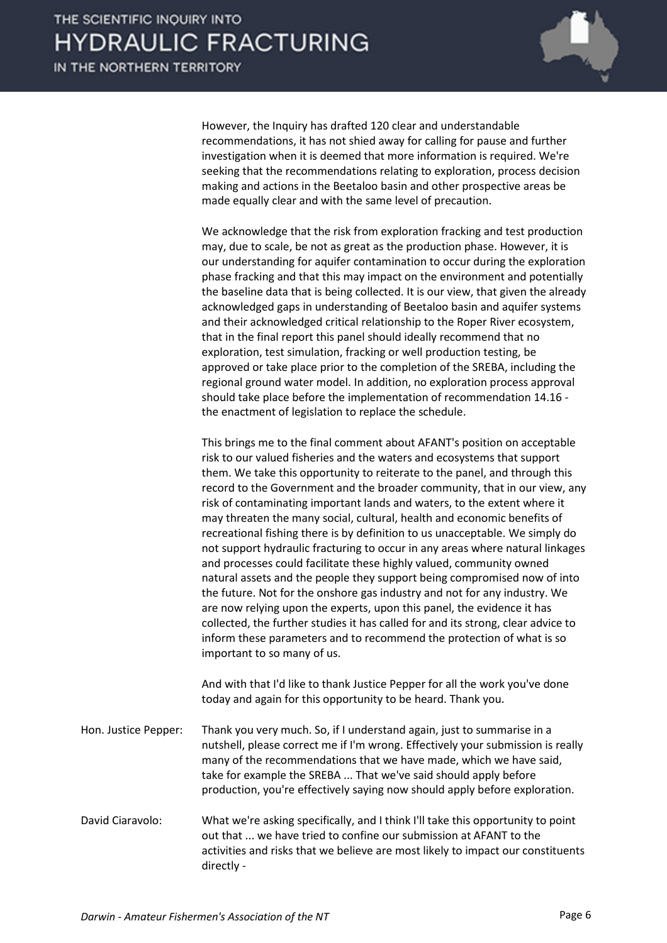

However, the Inquiry has drafted 120 clear and understandable recommendations, it has not shied away for calling for pause and further investigation when it is deemed that more information is required. We're seeking that the recommendations relating to exploration, process decision making and actions in the Beetaloo basin and other prospective areas be made equally clear and with the same level of precaution.

We acknowledge that the risk from exploration fracking and test production may, due to scale, be not as great as the production phase. However, it is our understanding for aquifer contamination to occur during the exploration phase fracking and that this may impact on the environment and potentially the baseline data that is being collected. It is our view, that given the already acknowledged gaps in understanding of Beetaloo basin and aquifer systems and their acknowledged critical relationship to the Roper River ecosystem, that in the final report this panel should ideally recommend that no exploration, test simulation, fracking or well production testing, be approved or take place prior to the completion of the SREBA, including the regional ground water model. In addition, no exploration process approval should take place before the implementation of recommendation 14.16 the enactment of legislation to replace the schedule.

This brings me to the final comment about AFANT's position on acceptable risk to our valued fisheries and the waters and ecosystems that support them. We take this opportunity to reiterate to the panel, and through this record to the Government and the broader community, that in our view, any risk of contaminating important lands and waters, to the extent where it may threaten the many social, cultural, health and economic benefits of recreational fishing there is by definition to us unacceptable. We simply do not support hydraulic fracturing to occur in any areas where natural linkages and processes could facilitate these highly valued, community owned natural assets and the people they support being compromised now of into the future. Not for the onshore gas industry and not for any industry. We are now relying upon the experts, upon this panel, the evidence it has collected, the further studies it has called for and its strong, clear advice to inform these parameters and to recommend the protection of what is so important to so many of us.

And with that I'd like to thank Justice Pepper for all the work you've done today and again for this opportunity to be heard. Thank you.

Hon. Justice Pepper: Thank you very much. So, if I understand again, just to summarise in a nutshell, please correct me if I'm wrong. Effectively your submission is really many of the recommendations that we have made, which we have said, take for example the SREBA ... That we've said should apply before production, you're effectively saying now should apply before exploration.

David Ciaravolo: What we're asking specifically, and I think I'll take this opportunity to point out that ... we have tried to confine our submission at AFANT to the activities and risks that we believe are most likely to impact our constituents directly -